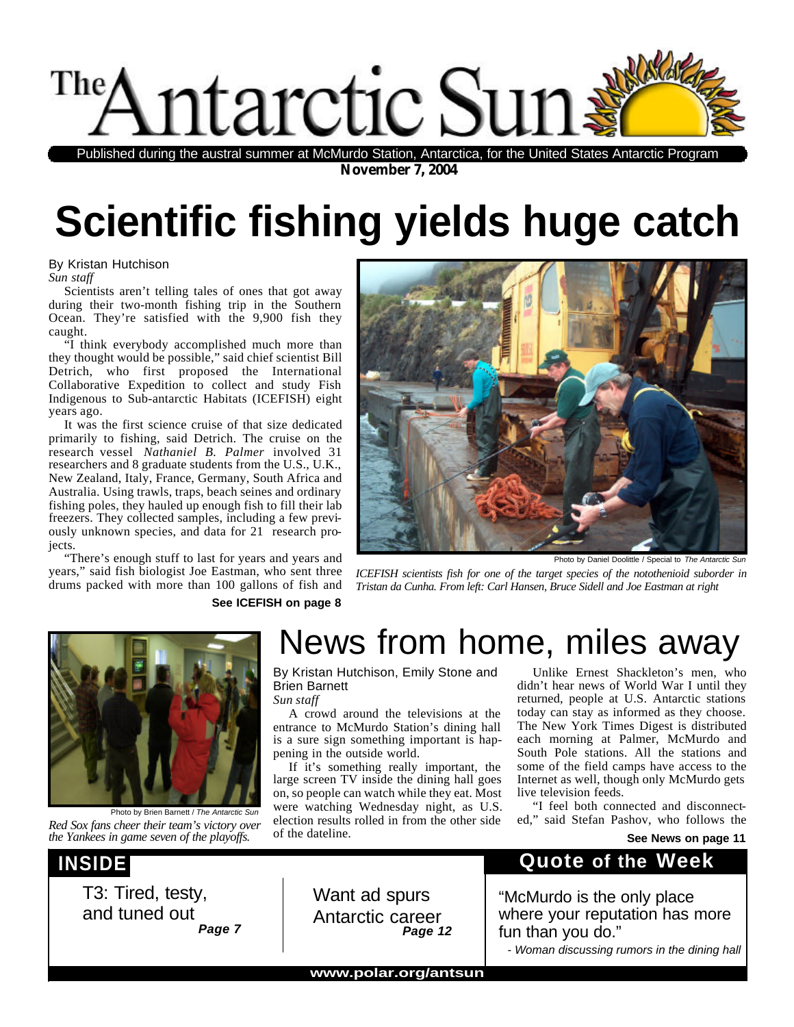Published during the austral summer at McMurdo Station, Antarctica, for the United States Antarctic Program

November 7, 2004

## Scientific fishing yields huge catch

By Kristan Hutchison Sun staff

Scientists aren't telling tales of ones that got away during their two-month fishing trip in the Southern Ocean. They're satisfied with the 9,900 fish they caught.

"I think everybody accomplished much more than they thought would be possible," said chief scientist Bill Detrich, who first proposed the International Collaborative Expedition to collect and study Fisl Indigenous to Sub-antarctic Habitats (ICEFISH) eight years ago.

It was the first science cruise of that size dedicated primarily to fishing, said Detrich. The cruise on the research vessel Nathaniel B. Palmerinvolved 31 researchers, including 8 graduate students, from U.S., U.K., New Zealand, Italy, France, Germany, South Africa and Australia. Using trawls, traps, beach seines and ordinary fishing poles, they hauled up enough fish to fill their lab freezers. They collected samples, inclue ing a few previously unknown species, and data for 21 research projects.

"There's enough stuff to last for years and years and

Photo by Daniel Doolittle / Special to The Antarctic Sun

years," said fish biologist Joe Eastman, who sent thre EFISH scientists fish for one of the target species of the notothenioid suborder in drums packed with more than 100 gallons of fish a**nd**stan da Cunha. From left: Carl Hansen, Bruce Sidell and Joe Eastman at right

See ICEFISH on page 8

## News from home, miles away

By Kristan Hutchison, Emily Stone and Brien Barnett Sun staff

Unlike Ernest Shackleton's men, who didn't hear news of World War I until they returned, people at U.S. Antarctic stations

A crowd around the televisions at the today can stay as informed as they choose. entrance to McMurdo Station's dining hall The New York Times Digest is distributed is a sure sign something important is hapeach morning at Palmer, McMurdo and pening in the outside world. South Pole stations. All the stations and

If it's something really important, the some of the field camps have access to the large screen TV inside the dining hall goetnternet as well, though only McMurdo gets on, so people can watch while they eat. Most ve television feeds.

were watching Wednesday night, as U.S. "I feel both connected and disconnect Photo by Brien Barnett / The Antarctic Sun<br>Red Sox fans cheer their team's victory overfection results rolled in from the other sideed," said Stefan Pashov, who follows the The Yankees in game seven of the playoffs.<sup>The</sup> dateline.<br>the Yankees in game seven of the playoffs.<sup>The</sup> dateline.



T3: Tired, testy, and tuned out Page 7

Want ad spurs Antarctic career Page 12

### Quote of the Week

"McMurdo is the only place where your reputation has more fun than you do."

- Woman discussing rumors in the dining hall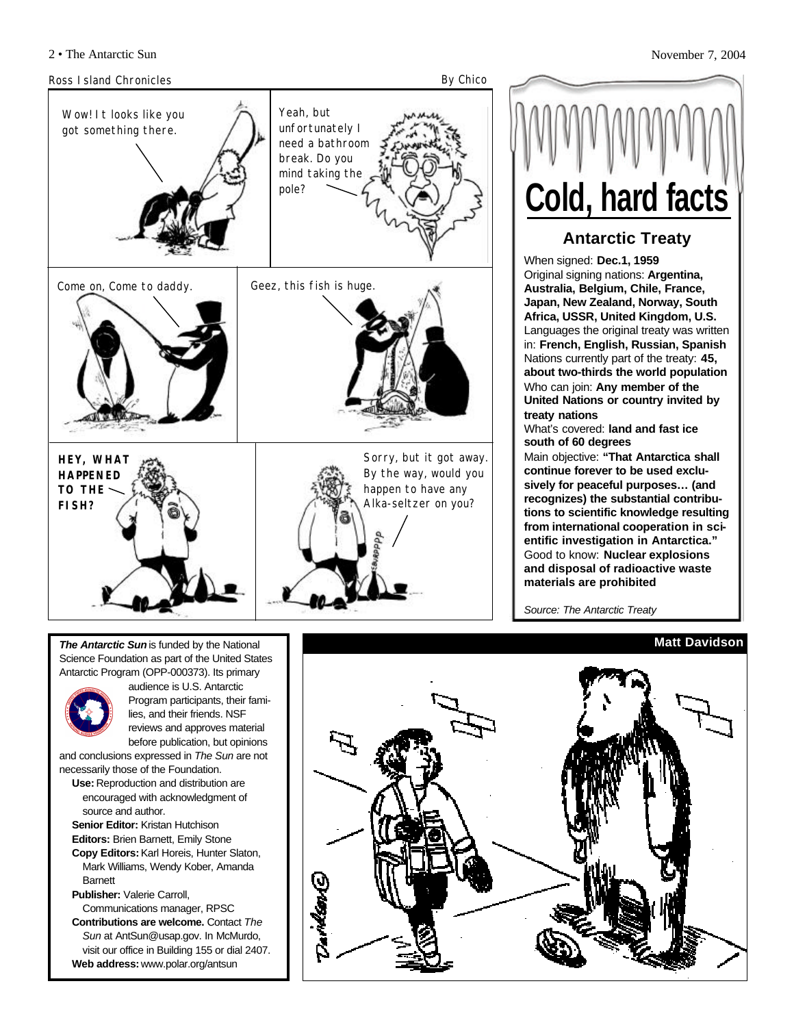

**Cold, hard facts**

#### **Antarctic Treaty**

When signed: **Dec.1, 1959** Original signing nations: **Argentina, Australia, Belgium, Chile, France, Japan, New Zealand, Norway, South Africa, USSR, United Kingdom, U.S.** Languages the original treaty was written in: **French, English, Russian, Spanish** Nations currently part of the treaty: **45, about two-thirds the world population** Who can join: **Any member of the United Nations or country invited by treaty nations**

What's covered: **land and fast ice south of 60 degrees**

Main objective: **"That Antarctica shall continue forever to be used exclusively for peaceful purposes… (and recognizes) the substantial contributions to scientific knowledge resulting from international cooperation in scientific investigation in Antarctica."** Good to know: **Nuclear explosions and disposal of radioactive waste materials are prohibited**

*Source: The Antarctic Treaty*

#### **Matt Davidson**



*The Antarctic Sun* is funded by the National Science Foundation as part of the United States Antarctic Program (OPP-000373). Its primary



audience is U.S. Antarctic Program participants, their families, and their friends. NSF reviews and approves material before publication, but opinions

and conclusions expressed in *The Sun* are not necessarily those of the Foundation.

- **Use:** Reproduction and distribution are encouraged with acknowledgment of source and author.
- **Senior Editor:** Kristan Hutchison **Editors:** Brien Barnett, Emily Stone **Copy Editors:**Karl Horeis, Hunter Slaton, Mark Williams, Wendy Kober, Amanda
- Barnett **Publisher:** Valerie Carroll, Communications manager, RPSC
- **Contributions are welcome.** Contact *The Sun* at AntSun@usap.gov. In McMurdo, visit our office in Building 155 or dial 2407. **Web address:** www.polar.org/antsun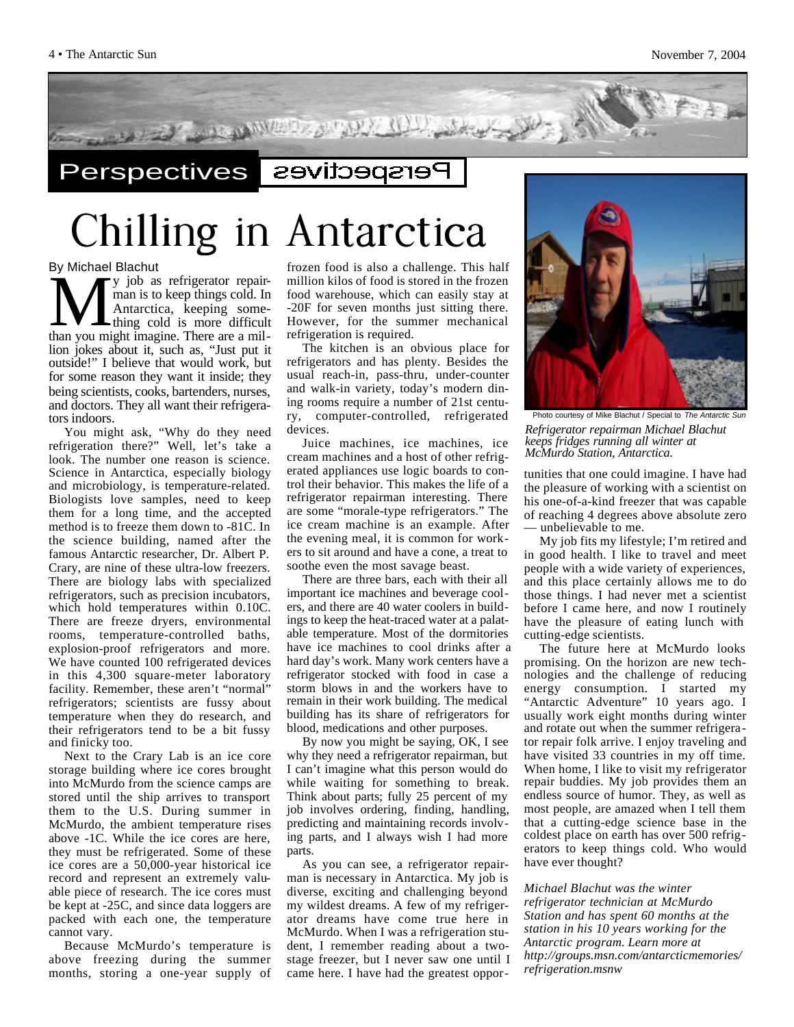

**Perspectives** Perspectives

**Chilling in Antarctica**

By Michael Blachut

We will be black to be determined by which are black to the man is to keep things cold. In Antarctica, keeping some-<br>thing cold is more difficult than you might imagine. There are a mily job as refrigerator repairman is to keep things cold. In Antarctica, keeping something cold is more difficult lion jokes about it, such as, "Just put it outside!" I believe that would work, but for some reason they want it inside; they being scientists, cooks, bartenders, nurses, and doctors. They all want their refrigerators indoors.

You might ask, "Why do they need refrigeration there?" Well, let's take a look. The number one reason is science. Science in Antarctica, especially biology and microbiology, is temperature-related. Biologists love samples, need to keep them for a long time, and the accepted method is to freeze them down to -81C. In the science building, named after the famous Antarctic researcher, Dr. Albert P. Crary, are nine of these ultra-low freezers. There are biology labs with specialized refrigerators, such as precision incubators, which hold temperatures within 0.10C. There are freeze dryers, environmental rooms, temperature-controlled baths, explosion-proof refrigerators and more. We have counted 100 refrigerated devices in this 4,300 square-meter laboratory facility. Remember, these aren't "normal" refrigerators; scientists are fussy about temperature when they do research, and their refrigerators tend to be a bit fussy and finicky too.

Next to the Crary Lab is an ice core storage building where ice cores brought into McMurdo from the science camps are stored until the ship arrives to transport them to the U.S. During summer in McMurdo, the ambient temperature rises above -1C. While the ice cores are here, they must be refrigerated. Some of these ice cores are a 50,000-year historical ice record and represent an extremely valuable piece of research. The ice cores must be kept at -25C, and since data loggers are packed with each one, the temperature cannot vary.

Because McMurdo's temperature is above freezing during the summer months, storing a one-year supply of frozen food is also a challenge. This half million kilos of food is stored in the frozen food warehouse, which can easily stay at -20F for seven months just sitting there. However, for the summer mechanical refrigeration is required.

The kitchen is an obvious place for refrigerators and has plenty. Besides the usual reach-in, pass-thru, under-counter and walk-in variety, today's modern dining rooms require a number of 21st century, computer-controlled, refrigerated devices.

Juice machines, ice machines, ice cream machines and a host of other refrigerated appliances use logic boards to control their behavior. This makes the life of a refrigerator repairman interesting. There are some "morale-type refrigerators." The ice cream machine is an example. After the evening meal, it is common for workers to sit around and have a cone, a treat to soothe even the most savage beast.

There are three bars, each with their all important ice machines and beverage coolers, and there are 40 water coolers in buildings to keep the heat-traced water at a palatable temperature. Most of the dormitories have ice machines to cool drinks after a hard day's work. Many work centers have a refrigerator stocked with food in case a storm blows in and the workers have to remain in their work building. The medical building has its share of refrigerators for blood, medications and other purposes.

By now you might be saying, OK, I see why they need a refrigerator repairman, but I can't imagine what this person would do while waiting for something to break. Think about parts; fully 25 percent of my job involves ordering, finding, handling, predicting and maintaining records involving parts, and I always wish I had more parts.

As you can see, a refrigerator repairman is necessary in Antarctica. My job is diverse, exciting and challenging beyond my wildest dreams. A few of my refrigerator dreams have come true here in McMurdo. When I was a refrigeration student, I remember reading about a twostage freezer, but I never saw one until I came here. I have had the greatest oppor-



Photo courtesy of Mike Blachut / Special to The *Refrigerator repairman Michael Blachut keeps fridges running all winter at McMurdo Station, Antarctica.*

tunities that one could imagine. I have had the pleasure of working with a scientist on his one-of-a-kind freezer that was capable of reaching 4 degrees above absolute zero — unbelievable to me.

My job fits my lifestyle; I'm retired and in good health. I like to travel and meet people with a wide variety of experiences, and this place certainly allows me to do those things. I had never met a scientist before I came here, and now I routinely have the pleasure of eating lunch with cutting-edge scientists.

The future here at McMurdo looks promising. On the horizon are new technologies and the challenge of reducing energy consumption. I started my "Antarctic Adventure" 10 years ago. I usually work eight months during winter and rotate out when the summer refrigerator repair folk arrive. I enjoy traveling and have visited 33 countries in my off time. When home, I like to visit my refrigerator repair buddies. My job provides them an endless source of humor. They, as well as most people, are amazed when I tell them that a cutting-edge science base in the coldest place on earth has over 500 refrigerators to keep things cold. Who would have ever thought?

*Michael Blachut was the winter refrigerator technician at McMurdo Station and has spent 60 months at the station in his 10 years working for the Antarctic program. Learn more at http://groups.msn.com/antarcticmemories/ refrigeration.msnw*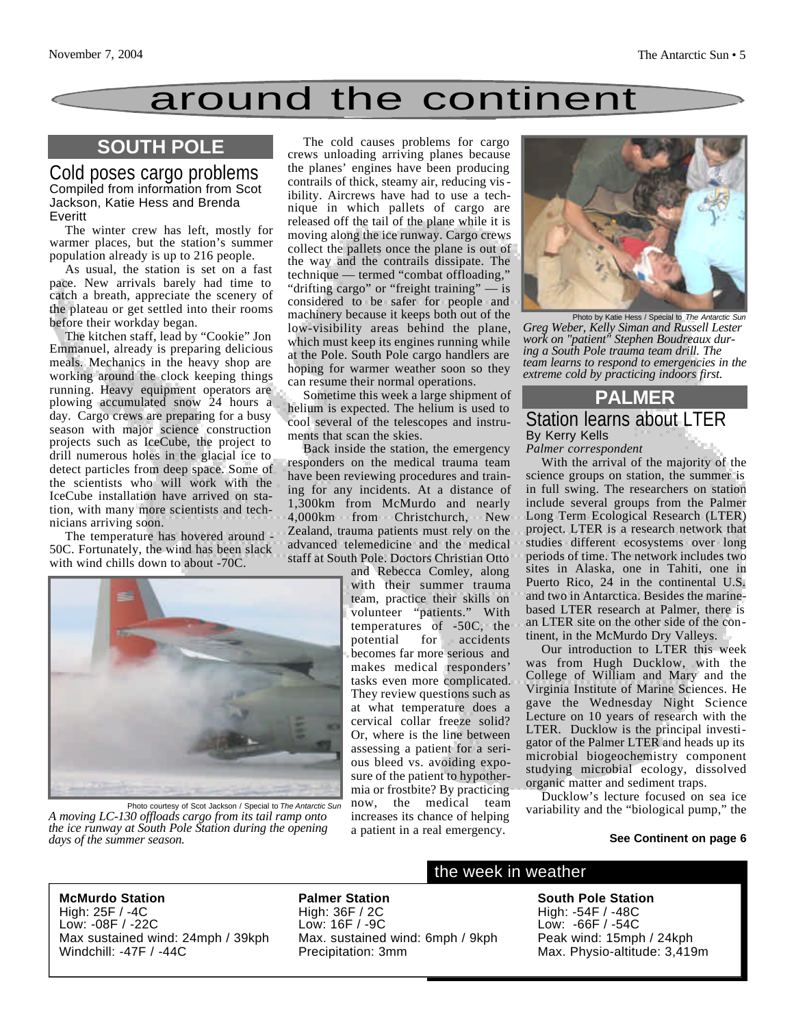### around the continent

#### **SOUTH POLE**

Cold poses cargo problems Compiled from information from Scot Jackson, Katie Hess and Brenda Everitt

The winter crew has left, mostly for warmer places, but the station's summer population already is up to 216 people.

As usual, the station is set on a fast pace. New arrivals barely had time to catch a breath, appreciate the scenery of the plateau or get settled into their rooms before their workday began.

The kitchen staff, lead by "Cookie" Jon Emmanuel, already is preparing delicious meals. Mechanics in the heavy shop are working around the clock keeping things running. Heavy equipment operators are plowing accumulated snow 24 hours a day. Cargo crews are preparing for a busy season with major science construction projects such as IceCube, the project to drill numerous holes in the glacial ice to detect particles from deep space. Some of the scientists who will work with the IceCube installation have arrived on station, with many more scientists and technicians arriving soon.

The temperature has hovered around - 50C. Fortunately, the wind has been slack with wind chills down to about -70C.

The cold causes problems for cargo crews unloading arriving planes because the planes' engines have been producing contrails of thick, steamy air, reducing visibility. Aircrews have had to use a technique in which pallets of cargo are released off the tail of the plane while it is moving along the ice runway. Cargo crews collect the pallets once the plane is out of the way and the contrails dissipate. The technique — termed "combat offloading," "drifting cargo" or "freight training" — is considered to be safer for people and machinery because it keeps both out of the low-visibility areas behind the plane, which must keep its engines running while at the Pole. South Pole cargo handlers are hoping for warmer weather soon so they can resume their normal operations.

Sometime this week a large shipment of helium is expected. The helium is used to cool several of the telescopes and instruments that scan the skies.

Back inside the station, the emergency responders on the medical trauma team have been reviewing procedures and training for any incidents. At a distance of 1,300km from McMurdo and nearly 4,000km from Christchurch, New Zealand, trauma patients must rely on the advanced telemedicine and the medical staff at South Pole. Doctors Christian Otto

and Rebecca Comley, along with their summer trauma team, practice their skills on volunteer "patients." With temperatures of -50C, the potential for accidents becomes far more serious and makes medical responders' tasks even more complicated. They review questions such as at what temperature does a cervical collar freeze solid? Or, where is the line between assessing a patient for a serious bleed vs. avoiding exposure of the patient to hypothermia or frostbite? By practicing now, the medical team increases its chance of helping a patient in a real emergency.



Photo by Katie Hess / Special to *The Antarctic Sun Greg Weber, Kelly Siman and Russell Lester work on "patient" Stephen Boudreaux during a South Pole trauma team drill. The team learns to respond to emergencies in the extreme cold by practicing indoors first.*

#### **PALMER** Station learns about LTER By Kerry Kells

*Palmer correspondent*

With the arrival of the majority of the science groups on station, the summer is in full swing. The researchers on station include several groups from the Palmer Long Term Ecological Research (LTER) project. LTER is a research network that studies different ecosystems over long periods of time. The network includes two sites in Alaska, one in Tahiti, one in Puerto Rico, 24 in the continental U.S. and two in Antarctica. Besides the marinebased LTER research at Palmer, there is an LTER site on the other side of the continent, in the McMurdo Dry Valleys.

Our introduction to LTER this week was from Hugh Ducklow, with the College of William and Mary and the Virginia Institute of Marine Sciences. He gave the Wednesday Night Science Lecture on 10 years of research with the LTER. Ducklow is the principal investigator of the Palmer LTER and heads up its microbial biogeochemistry component studying microbial ecology, dissolved organic matter and sediment traps.

Ducklow's lecture focused on sea ice Photo courtesy of Scot Jackson / Special to *The Antarctic Sun* now, the medical team variability and the "biological pump," the

#### **See Continent on page 6**

**McMurdo Station** High: 25F / -4C Low: -08F / -22C Max sustained wind: 24mph / 39kph

*A moving LC-130 offloads cargo from its tail ramp onto the ice runway at South Pole Station during the opening*

Windchill: -47F / -44C

*days of the summer season.*

**Palmer Station** High: 36F / 2C Low: 16F / -9C Max. sustained wind: 6mph / 9kph Precipitation: 3mm

#### the week in weather

**South Pole Station** High: -54F / -48C Low: -66F / -54C Peak wind: 15mph / 24kph Max. Physio-altitude: 3,419m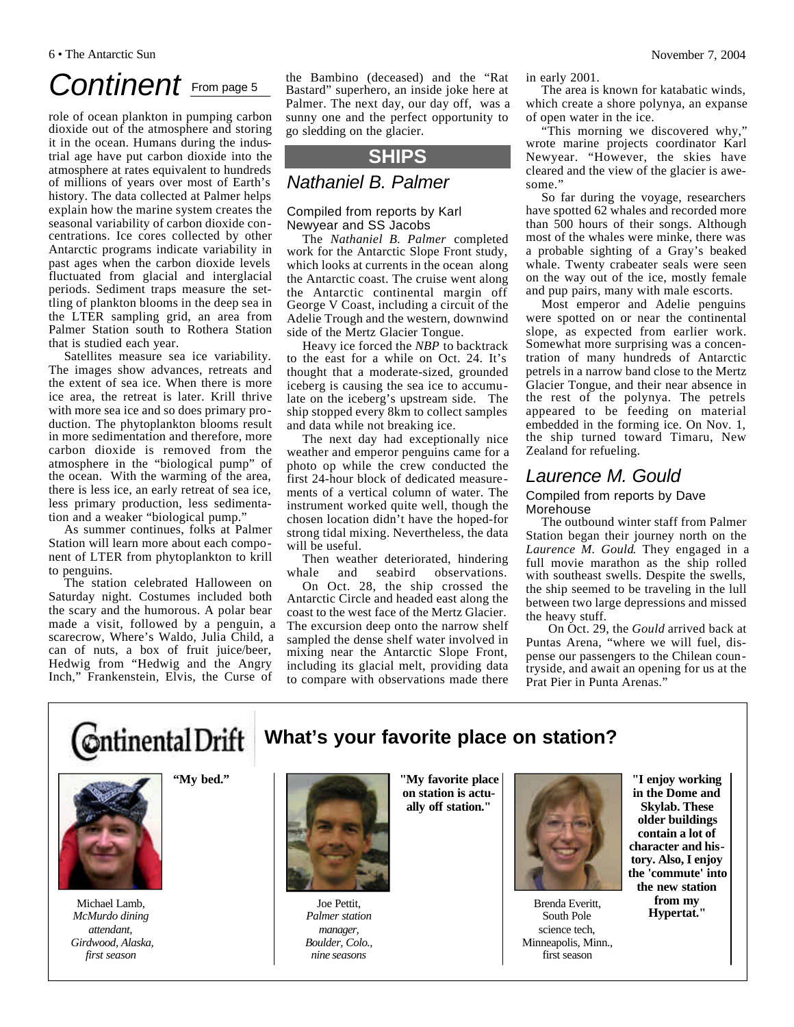## Continent **From page 5**

role of ocean plankton in pumping carbon dioxide out of the atmosphere and storing it in the ocean. Humans during the industrial age have put carbon dioxide into the atmosphere at rates equivalent to hundreds of millions of years over most of Earth's history. The data collected at Palmer helps explain how the marine system creates the seasonal variability of carbon dioxide concentrations. Ice cores collected by other Antarctic programs indicate variability in past ages when the carbon dioxide levels fluctuated from glacial and interglacial periods. Sediment traps measure the settling of plankton blooms in the deep sea in the LTER sampling grid, an area from Palmer Station south to Rothera Station that is studied each year.

Satellites measure sea ice variability. The images show advances, retreats and the extent of sea ice. When there is more ice area, the retreat is later. Krill thrive with more sea ice and so does primary production. The phytoplankton blooms result in more sedimentation and therefore, more carbon dioxide is removed from the atmosphere in the "biological pump" of the ocean. With the warming of the area, there is less ice, an early retreat of sea ice, less primary production, less sedimentation and a weaker "biological pump."

As summer continues, folks at Palmer Station will learn more about each component of LTER from phytoplankton to krill to penguins.

The station celebrated Halloween on Saturday night. Costumes included both the scary and the humorous. A polar bear made a visit, followed by a penguin, a scarecrow, Where's Waldo, Julia Child, a can of nuts, a box of fruit juice/beer, Hedwig from "Hedwig and the Angry Inch," Frankenstein, Elvis, the Curse of

the Bambino (deceased) and the "Rat Bastard" superhero, an inside joke here at Palmer. The next day, our day off, was a sunny one and the perfect opportunity to go sledding on the glacier.

#### **SHIPS**

#### *Nathaniel B. Palmer*

#### Compiled from reports by Karl Newyear and SS Jacobs

The *Nathaniel B. Palmer* completed work for the Antarctic Slope Front study, which looks at currents in the ocean along the Antarctic coast. The cruise went along the Antarctic continental margin off George V Coast, including a circuit of the Adelie Trough and the western, downwind side of the Mertz Glacier Tongue.

Heavy ice forced the *NBP* to backtrack to the east for a while on Oct. 24. It's thought that a moderate-sized, grounded iceberg is causing the sea ice to accumulate on the iceberg's upstream side. The ship stopped every 8km to collect samples and data while not breaking ice.

The next day had exceptionally nice weather and emperor penguins came for a photo op while the crew conducted the first 24-hour block of dedicated measurements of a vertical column of water. The instrument worked quite well, though the chosen location didn't have the hoped-for strong tidal mixing. Nevertheless, the data will be useful.

Then weather deteriorated, hindering whale and seabird observations.

On Oct. 28, the ship crossed the Antarctic Circle and headed east along the coast to the west face of the Mertz Glacier. The excursion deep onto the narrow shelf sampled the dense shelf water involved in mixing near the Antarctic Slope Front, including its glacial melt, providing data to compare with observations made there in early 2001.

The area is known for katabatic winds, which create a shore polynya, an expanse of open water in the ice.

"This morning we discovered why," wrote marine projects coordinator Karl Newyear. "However, the skies have cleared and the view of the glacier is awesome.'

So far during the voyage, researchers have spotted 62 whales and recorded more than 500 hours of their songs. Although most of the whales were minke, there was a probable sighting of a Gray's beaked whale. Twenty crabeater seals were seen on the way out of the ice, mostly female and pup pairs, many with male escorts.

Most emperor and Adelie penguins were spotted on or near the continental slope, as expected from earlier work. Somewhat more surprising was a concentration of many hundreds of Antarctic petrels in a narrow band close to the Mertz Glacier Tongue, and their near absence in the rest of the polynya. The petrels appeared to be feeding on material embedded in the forming ice. On Nov. 1, the ship turned toward Timaru, New Zealand for refueling.

#### *Laurence M. Gould*

#### Compiled from reports by Dave Morehouse

The outbound winter staff from Palmer Station began their journey north on the *Laurence M. Gould*. They engaged in a full movie marathon as the ship rolled with southeast swells. Despite the swells, the ship seemed to be traveling in the lull between two large depressions and missed the heavy stuff.

On Oct. 29, the *Gould* arrived back at Puntas Arena, "where we will fuel, dispense our passengers to the Chilean countryside, and await an opening for us at the Prat Pier in Punta Arenas."





Michael Lamb, *McMurdo dining attendant, Girdwood, Alaska, first season*

**"My bed."** 



Joe Pettit, *Palmer station manager, Boulder, Colo., nine seasons* 

**"My favorite place on station is actually off station."**



Brenda Everitt, South Pole science tech, Minneapolis, Minn., first season

**"I enjoy working in the Dome and Skylab. These older buildings contain a lot of character and history. Also, I enjoy the 'commute' into the new station from my Hypertat."**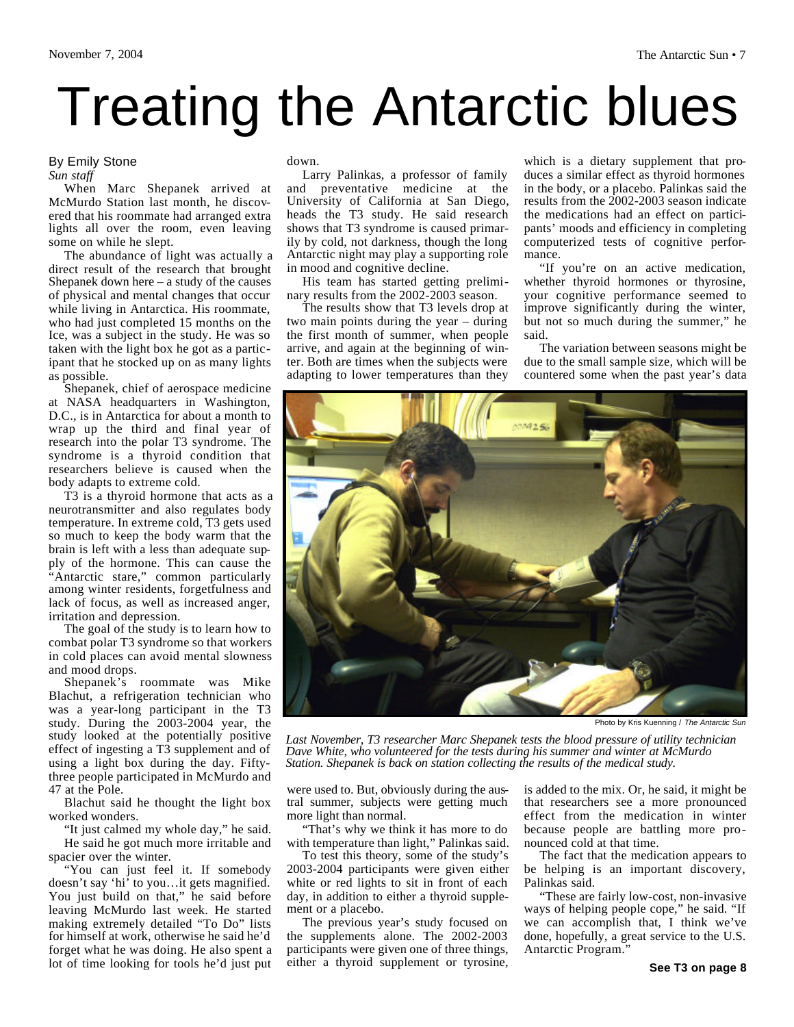# Treating the Antarctic blues

#### By Emily Stone *Sun staff*

When Marc Shepanek arrived at McMurdo Station last month, he discovered that his roommate had arranged extra lights all over the room, even leaving some on while he slept.

The abundance of light was actually a direct result of the research that brought Shepanek down here – a study of the causes of physical and mental changes that occur while living in Antarctica. His roommate, who had just completed 15 months on the Ice, was a subject in the study. He was so taken with the light box he got as a participant that he stocked up on as many lights as possible.

Shepanek, chief of aerospace medicine at NASA headquarters in Washington, D.C., is in Antarctica for about a month to wrap up the third and final year of research into the polar T3 syndrome. The syndrome is a thyroid condition that researchers believe is caused when the body adapts to extreme cold.

T3 is a thyroid hormone that acts as a neurotransmitter and also regulates body temperature. In extreme cold, T3 gets used so much to keep the body warm that the brain is left with a less than adequate supply of the hormone. This can cause the "Antarctic stare," common particularly among winter residents, forgetfulness and lack of focus, as well as increased anger, irritation and depression.

The goal of the study is to learn how to combat polar T3 syndrome so that workers in cold places can avoid mental slowness and mood drops.

Shepanek's roommate was Mike Blachut, a refrigeration technician who was a year-long participant in the T3 study. During the 2003-2004 year, the study looked at the potentially positive effect of ingesting a T3 supplement and of using a light box during the day. Fiftythree people participated in McMurdo and 47 at the Pole.

Blachut said he thought the light box worked wonders.

"It just calmed my whole day," he said. He said he got much more irritable and spacier over the winter.

"You can just feel it. If somebody doesn't say 'hi' to you…it gets magnified. You just build on that," he said before leaving McMurdo last week. He started making extremely detailed "To Do" lists for himself at work, otherwise he said he'd forget what he was doing. He also spent a lot of time looking for tools he'd just put down.

Larry Palinkas, a professor of family and preventative medicine at the University of California at San Diego, heads the T3 study. He said research shows that T3 syndrome is caused primarily by cold, not darkness, though the long Antarctic night may play a supporting role in mood and cognitive decline.

His team has started getting preliminary results from the 2002-2003 season.

The results show that T3 levels drop at two main points during the year – during the first month of summer, when people arrive, and again at the beginning of winter. Both are times when the subjects were adapting to lower temperatures than they which is a dietary supplement that produces a similar effect as thyroid hormones in the body, or a placebo. Palinkas said the results from the 2002-2003 season indicate the medications had an effect on participants' moods and efficiency in completing computerized tests of cognitive performance.

"If you're on an active medication, whether thyroid hormones or thyrosine, your cognitive performance seemed to improve significantly during the winter, but not so much during the summer," he said.

The variation between seasons might be due to the small sample size, which will be countered some when the past year's data



Photo by Kris Kuenning / *The Antarctic Sun*

*Last November, T3 researcher Marc Shepanek tests the blood pressure of utility technician Dave White, who volunteered for the tests during his summer and winter at McMurdo Station. Shepanek is back on station collecting the results of the medical study.*

were used to. But, obviously during the austral summer, subjects were getting much more light than normal.

"That's why we think it has more to do with temperature than light," Palinkas said.

To test this theory, some of the study's 2003-2004 participants were given either white or red lights to sit in front of each day, in addition to either a thyroid supplement or a placebo.

The previous year's study focused on the supplements alone. The 2002-2003 participants were given one of three things, either a thyroid supplement or tyrosine, is added to the mix. Or, he said, it might be that researchers see a more pronounced effect from the medication in winter because people are battling more pronounced cold at that time.

The fact that the medication appears to be helping is an important discovery, Palinkas said.

"These are fairly low-cost, non-invasive ways of helping people cope," he said. "If we can accomplish that, I think we've done, hopefully, a great service to the U.S. Antarctic Program."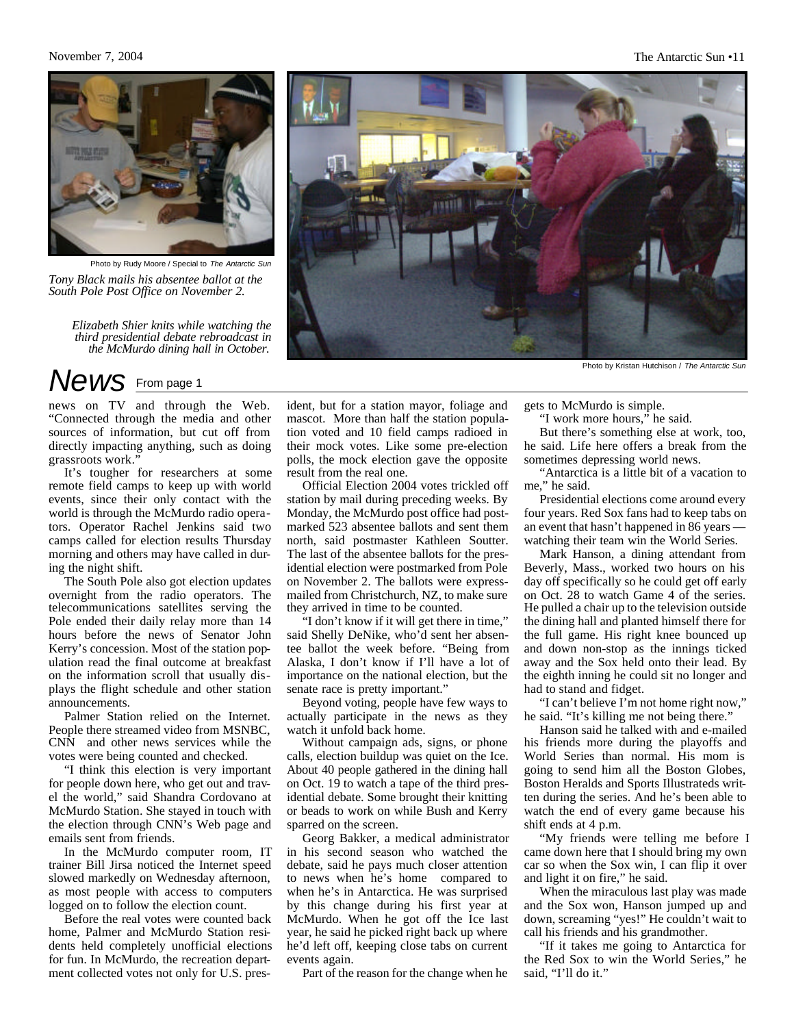#### November 7, 2004 The Antarctic Sun •11

![](_page_10_Picture_2.jpeg)

Photo by Rudy Moore / Special to *The Antarctic Sun*

*Tony Black mails his absentee ballot at the South Pole Post Office on November 2.*

*Elizabeth Shier knits while watching the third presidential debate rebroadcast in the McMurdo dining hall in October.*

### *News* From page 1

news on TV and through the Web. "Connected through the media and other sources of information, but cut off from directly impacting anything, such as doing grassroots work."

It's tougher for researchers at some remote field camps to keep up with world events, since their only contact with the world is through the McMurdo radio operators. Operator Rachel Jenkins said two camps called for election results Thursday morning and others may have called in during the night shift.

The South Pole also got election updates overnight from the radio operators. The telecommunications satellites serving the Pole ended their daily relay more than 14 hours before the news of Senator John Kerry's concession. Most of the station population read the final outcome at breakfast on the information scroll that usually displays the flight schedule and other station announcements.

Palmer Station relied on the Internet. People there streamed video from MSNBC, CNN and other news services while the votes were being counted and checked.

"I think this election is very important for people down here, who get out and travel the world," said Shandra Cordovano at McMurdo Station. She stayed in touch with the election through CNN's Web page and emails sent from friends.

In the McMurdo computer room, IT trainer Bill Jirsa noticed the Internet speed slowed markedly on Wednesday afternoon, as most people with access to computers logged on to follow the election count.

Before the real votes were counted back home, Palmer and McMurdo Station residents held completely unofficial elections for fun. In McMurdo, the recreation department collected votes not only for U.S. president, but for a station mayor, foliage and mascot. More than half the station population voted and 10 field camps radioed in their mock votes. Like some pre-election polls, the mock election gave the opposite result from the real one.

Official Election 2004 votes trickled off station by mail during preceding weeks. By Monday, the McMurdo post office had postmarked 523 absentee ballots and sent them north, said postmaster Kathleen Soutter. The last of the absentee ballots for the presidential election were postmarked from Pole on November 2. The ballots were expressmailed from Christchurch, NZ, to make sure they arrived in time to be counted.

"I don't know if it will get there in time," said Shelly DeNike, who'd sent her absentee ballot the week before. "Being from Alaska, I don't know if I'll have a lot of importance on the national election, but the senate race is pretty important."

Beyond voting, people have few ways to actually participate in the news as they watch it unfold back home.

Without campaign ads, signs, or phone calls, election buildup was quiet on the Ice. About 40 people gathered in the dining hall on Oct. 19 to watch a tape of the third presidential debate. Some brought their knitting or beads to work on while Bush and Kerry sparred on the screen.

Georg Bakker, a medical administrator in his second season who watched the debate, said he pays much closer attention to news when he's home compared to when he's in Antarctica. He was surprised by this change during his first year at McMurdo. When he got off the Ice last year, he said he picked right back up where he'd left off, keeping close tabs on current events again.

Part of the reason for the change when he

![](_page_10_Picture_21.jpeg)

Photo by Kristan Hutchison / *The Antarctic Sun*

gets to McMurdo is simple.

"I work more hours," he said.

But there's something else at work, too, he said. Life here offers a break from the sometimes depressing world news.

"Antarctica is a little bit of a vacation to me," he said.

Presidential elections come around every four years. Red Sox fans had to keep tabs on an event that hasn't happened in 86 years watching their team win the World Series.

Mark Hanson, a dining attendant from Beverly, Mass., worked two hours on his day off specifically so he could get off early on Oct. 28 to watch Game 4 of the series. He pulled a chair up to the television outside the dining hall and planted himself there for the full game. His right knee bounced up and down non-stop as the innings ticked away and the Sox held onto their lead. By the eighth inning he could sit no longer and had to stand and fidget.

"I can't believe I'm not home right now," he said. "It's killing me not being there."

Hanson said he talked with and e-mailed his friends more during the playoffs and World Series than normal. His mom is going to send him all the Boston Globes, Boston Heralds and Sports Illustrateds written during the series. And he's been able to watch the end of every game because his shift ends at 4 p.m.

"My friends were telling me before I came down here that I should bring my own car so when the Sox win, I can flip it over and light it on fire," he said.

When the miraculous last play was made and the Sox won, Hanson jumped up and down, screaming "yes!" He couldn't wait to call his friends and his grandmother.

"If it takes me going to Antarctica for the Red Sox to win the World Series," he said, "I'll do it."